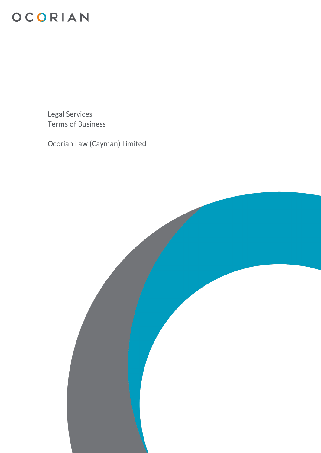

Legal Services Terms of Business

Ocorian Law (Cayman) Limited

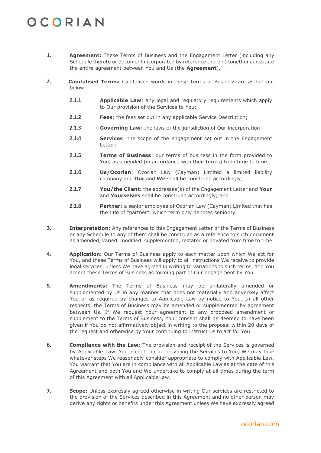- **1. Agreement:** These Terms of Business and the Engagement Letter (including any Schedule thereto or document incorporated by reference therein) together constitute the entire agreement between You and Us (the **Agreement**).
- **2. Capitalised Terms:** Capitalised words in these Terms of Business are as set out below:
	- **2.1.1 Applicable Law**: any legal and regulatory requirements which apply to Our provision of the Services to You;
	- **2.1.2 Fees**: the fees set out in any applicable Service Description;
	- **2.1.3 Governing Law**: the laws of the jurisdiction of Our incorporation;
	- **2.1.4 Services**: the scope of the engagement set out in the Engagement Letter;
	- **2.1.5 Terms of Business**: our terms of business in the form provided to You, as amended (in accordance with their terms) from time to time;
	- **2.1.6 Us/Ocorian**: Ocorian Law (Cayman) Limited a limited liability company and **Our** and **We** shall be construed accordingly;
	- **2.1.7 You/the Client**: the addressee(s) of the Engagement Letter and **Your** and **Yourselves** shall be construed accordingly; and
	- **2.1.8 Partner**: a senior employee of Ocorian Law (Cayman) Limited that has the title of "partner", which term only denotes seniority.
- **3. Interpretation**: Any references to this Engagement Letter or the Terms of Business or any Schedule to any of them shall be construed as a reference to such document as amended, varied, modified, supplemented, restated or novated from time to time.
- **4. Application:** Our Terms of Business apply to each matter upon which We act for You, and these Terms of Business will apply to all instructions We receive to provide legal services, unless We have agreed in writing to variations to such terms, and You accept these Terms of Business as forming part of Our engagement by You.
- <span id="page-1-0"></span>**5. Amendments:** The Terms of Business may be unilaterally amended or supplemented by Us in any manner that does not materially and adversely affect You or as required by changes to Applicable Law by notice to You. In all other respects, the Terms of Business may be amended or supplemented by agreement between Us. If We request Your agreement to any proposed amendment or supplement to the Terms of Business, Your consent shall be deemed to have been given if You do not affirmatively object in writing to the proposal within 20 days of the request and otherwise by Your continuing to instruct Us to act for You.
- **6. Compliance with the Law:** The provision and receipt of the Services is governed by Applicable Law. You accept that in providing the Services to You, We may take whatever steps We reasonably consider appropriate to comply with Applicable Law. You warrant that You are in compliance with all Applicable Law as at the date of this Agreement and both You and We undertake to comply at all times during the term of this Agreement with all Applicable Law.
- **7. Scope:** Unless expressly agreed otherwise in writing Our services are restricted to the provision of the Services described in this Agreement and no other person may derive any rights or benefits under this Agreement unless We have expressly agreed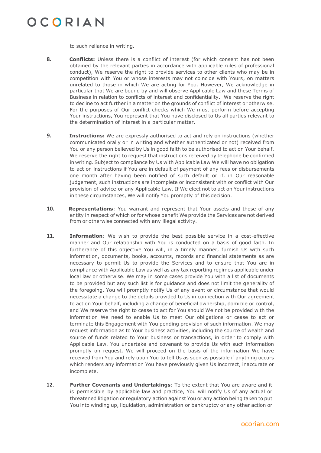to such reliance in writing.

- **8. Conflicts:** Unless there is a conflict of interest (for which consent has not been obtained by the relevant parties in accordance with applicable rules of professional conduct), We reserve the right to provide services to other clients who may be in competition with You or whose interests may not coincide with Yours, on matters unrelated to those in which We are acting for You. However, We acknowledge in particular that We are bound by and will observe Applicable Law and these Terms of Business in relation to conflicts of interest and confidentiality. We reserve the right to decline to act further in a matter on the grounds of conflict of interest or otherwise. For the purposes of Our conflict checks which We must perform before accepting Your instructions, You represent that You have disclosed to Us all parties relevant to the determination of interest in a particular matter.
- **9. Instructions:** We are expressly authorised to act and rely on instructions (whether communicated orally or in writing and whether authenticated or not) received from You or any person believed by Us in good faith to be authorised to act on Your behalf. We reserve the right to request that instructions received by telephone be confirmed in writing. Subject to compliance by Us with Applicable Law We will have no obligation to act on instructions if You are in default of payment of any fees or disbursements one month after having been notified of such default or if, in Our reasonable judgement, such instructions are incomplete or inconsistent with or conflict with Our provision of advice or any Applicable Law. If We elect not to act on Your instructions in these circumstances, We will notify You promptly of this decision.
- **10. Representations**: You warrant and represent that Your assets and those of any entity in respect of which or for whose benefit We provide the Services are not derived from or otherwise connected with any illegal activity.
- **11. Information**: We wish to provide the best possible service in a cost-effective manner and Our relationship with You is conducted on a basis of good faith. In furtherance of this objective You will, in a timely manner, furnish Us with such information, documents, books, accounts, records and financial statements as are necessary to permit Us to provide the Services and to ensure that You are in compliance with Applicable Law as well as any tax reporting regimes applicable under local law or otherwise. We may in some cases provide You with a list of documents to be provided but any such list is for guidance and does not limit the generality of the foregoing. You will promptly notify Us of any event or circumstance that would necessitate a change to the details provided to Us in connection with Our agreement to act on Your behalf, including a change of beneficial ownership, domicile or control, and We reserve the right to cease to act for You should We not be provided with the information We need to enable Us to meet Our obligations or cease to act or terminate this Engagement with You pending provision of such information. We may request information as to Your business activities, including the source of wealth and source of funds related to Your business or transactions, in order to comply with Applicable Law. You undertake and covenant to provide Us with such information promptly on request. We will proceed on the basis of the information We have received from You and rely upon You to tell Us as soon as possible if anything occurs which renders any information You have previously given Us incorrect, inaccurate or incomplete.
- **12. Further Covenants and Undertakings**: To the extent that You are aware and it is permissible by applicable law and practice, You will notify Us of any actual or threatened litigation or regulatory action against You or any action being taken to put You into winding up, liquidation, administration or bankruptcy or any other action or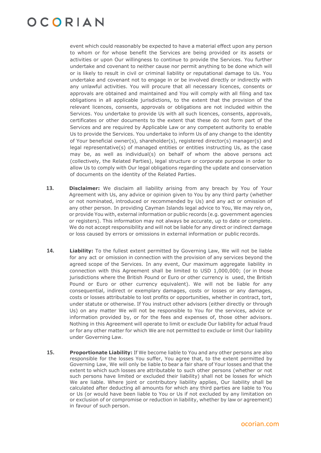event which could reasonably be expected to have a material effect upon any person to whom or for whose benefit the Services are being provided or its assets or activities or upon Our willingness to continue to provide the Services. You further undertake and covenant to neither cause nor permit anything to be done which will or is likely to result in civil or criminal liability or reputational damage to Us. You undertake and covenant not to engage in or be involved directly or indirectly with any unlawful activities. You will procure that all necessary licences, consents or approvals are obtained and maintained and You will comply with all filing and tax obligations in all applicable jurisdictions, to the extent that the provision of the relevant licences, consents, approvals or obligations are not included within the Services. You undertake to provide Us with all such licences, consents, approvals, certificates or other documents to the extent that these do not form part of the Services and are required by Applicable Law or any competent authority to enable Us to provide the Services. You undertake to inform Us of any change to the identity of Your beneficial owner(s), shareholder(s), registered director(s) manager(s) and legal representative(s) of managed entities or entities instructing Us, as the case may be, as well as individual(s) on behalf of whom the above persons act (collectively, the Related Parties), legal structure or corporate purpose in order to allow Us to comply with Our legal obligations regarding the update and conservation of documents on the identity of the Related Parties.

- <span id="page-3-0"></span>**13. Disclaimer:** We disclaim all liability arising from any breach by You of Your Agreement with Us, any advice or opinion given to You by any third party (whether or not nominated, introduced or recommended by Us) and any act or omission of any other person. In providing Cayman Islands legal advice to You, We may rely on, or provide You with, external information or public records (e.g. government agencies or registers). This information may not always be accurate, up to date or complete. We do not accept responsibility and will not be liable for any direct or indirect damage or loss caused by errors or omissions in external information or public records.
- <span id="page-3-1"></span>**14. Liability:** To the fullest extent permitted by Governing Law, We will not be liable for any act or omission in connection with the provision of any services beyond the agreed scope of the Services. In any event, Our maximum aggregate liability in connection with this Agreement shall be limited to USD 1,000,000; (or in those jurisdictions where the British Pound or Euro or other currency is used, the British Pound or Euro or other currency equivalent). We will not be liable for any consequential, indirect or exemplary damages, costs or losses or any damages, costs or losses attributable to lost profits or opportunities, whether in contract, tort, under statute or otherwise. If You instruct other advisors (either directly or through Us) on any matter We will not be responsible to You for the services, advice or information provided by, or for the fees and expenses of, those other advisors. Nothing in this Agreement will operate to limit or exclude Our liability for actual fraud or for any other matter for which We are not permitted to exclude or limit Our liability under Governing Law.
- <span id="page-3-2"></span>**15. Proportionate Liability:** If We become liable to You and any other persons are also responsible for the losses You suffer, You agree that, to the extent permitted by Governing Law, We will only be liable to bear a fair share of Your losses and that the extent to which such losses are attributable to such other persons (whether or not such persons have limited or excluded their liability) shall not be losses for which We are liable. Where joint or contributory liability applies, Our liability shall be calculated after deducting all amounts for which any third parties are liable to You or Us (or would have been liable to You or Us if not excluded by any limitation on or exclusion of or compromise or reduction in liability, whether by law or agreement) in favour of such person.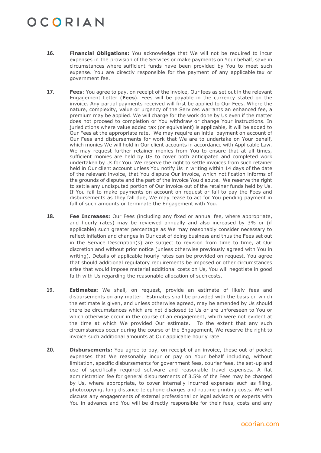- <span id="page-4-0"></span>**16. Financial Obligations:** You acknowledge that We will not be required to incur expenses in the provision of the Services or make payments on Your behalf, save in circumstances where sufficient funds have been provided by You to meet such expense. You are directly responsible for the payment of any applicable tax or government fee.
- **17. Fees**: You agree to pay, on receipt of the invoice, Our fees as set out in the relevant Engagement Letter (**Fees**). Fees will be payable in the currency stated on the invoice. Any partial payments received will first be applied to Our Fees. Where the nature, complexity, value or urgency of the Services warrants an enhanced fee, a premium may be applied. We will charge for the work done by Us even if the matter does not proceed to completion or You withdraw or change Your instructions. In jurisdictions where value added tax (or equivalent) is applicable, it will be added to Our Fees at the appropriate rate. We may require an initial payment on account of Our Fees and disbursements for work that We are to undertake on Your behalf, which monies We will hold in Our client accounts in accordance with Applicable Law. We may request further retainer monies from You to ensure that at all times, sufficient monies are held by US to cover both anticipated and completed work undertaken by Us for You. We reserve the right to settle invoices from such retainer held in Our client account unless You notify Us in writing within 14 days of the date of the relevant invoice, that You dispute Our invoice, which notification informs of the grounds of dispute and the part of the invoice You dispute. We reserve the right to settle any undisputed portion of Our invoice out of the retainer funds held by Us. If You fail to make payments on account on request or fail to pay the Fees and disbursements as they fall due, We may cease to act for You pending payment in full of such amounts or terminate the Engagement with You.
- <span id="page-4-2"></span><span id="page-4-1"></span>**18. Fee Increases:** Our Fees (including any fixed or annual fee, where appropriate, and hourly rates) may be reviewed annually and also increased by 3% or (if applicable) such greater percentage as We may reasonably consider necessary to reflect inflation and changes in Our cost of doing business and thus the Fees set out in the Service Description(s) are subject to revision from time to time, at Our discretion and without prior notice (unless otherwise previously agreed with You in writing). Details of applicable hourly rates can be provided on request. You agree that should additional regulatory requirements be imposed or other circumstances arise that would impose material additional costs on Us, You will negotiate in good faith with Us regarding the reasonable allocation of such costs.
- **19. Estimates:** We shall, on request, provide an estimate of likely fees and disbursements on any matter. Estimates shall be provided with the basis on which the estimate is given, and unless otherwise agreed, may be amended by Us should there be circumstances which are not disclosed to Us or are unforeseen to You or which otherwise occur in the course of an engagement, which were not evident at the time at which We provided Our estimate. To the extent that any such circumstances occur during the course of the Engagement, We reserve the right to invoice such additional amounts at Our applicable hourly rate.
- **20. Disbursements:** You agree to pay, on receipt of an invoice, those out-of-pocket expenses that We reasonably incur or pay on Your behalf including, without limitation, specific disbursements for government fees, courier fees, the set-up and use of specifically required software and reasonable travel expenses. A flat administration fee for general disbursements of 3.5% of the Fees may be charged by Us, where appropriate, to cover internally incurred expenses such as filing, photocopying, long distance telephone charges and routine printing costs. We will discuss any engagements of external professional or legal advisors or experts with You in advance and You will be directly responsible for their fees, costs and any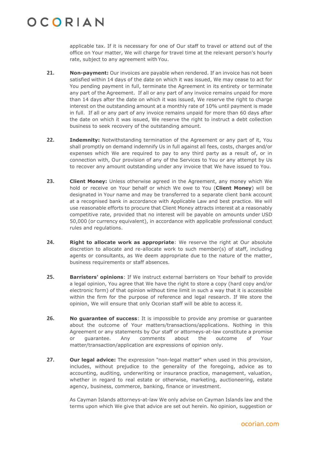applicable tax. If it is necessary for one of Our staff to travel or attend out of the office on Your matter, We will charge for travel time at the relevant person's hourly rate, subject to any agreement with You.

- **21. Non-payment:** Our invoices are payable when rendered. If an invoice has not been satisfied within 14 days of the date on which it was issued, We may cease to act for You pending payment in full, terminate the Agreement in its entirety or terminate any part of the Agreement. If all or any part of any invoice remains unpaid for more than 14 days after the date on which it was issued, We reserve the right to charge interest on the outstanding amount at a monthly rate of 10% until payment is made in full. If all or any part of any invoice remains unpaid for more than 60 days after the date on which it was issued, We reserve the right to instruct a debt collection business to seek recovery of the outstanding amount.
- **22. Indemnity:** Notwithstanding termination of the Agreement or any part of it, You shall promptly on demand indemnify Us in full against all fees, costs, charges and/or expenses which We are required to pay to any third party as a result of, or in connection with, Our provision of any of the Services to You or any attempt by Us to recover any amount outstanding under any invoice that We have issued to You.
- **23. Client Money:** Unless otherwise agreed in the Agreement, any money which We hold or receive on Your behalf or which We owe to You (**Client Money**) will be designated in Your name and may be transferred to a separate client bank account at a recognised bank in accordance with Applicable Law and best practice. We will use reasonable efforts to procure that Client Money attracts interest at a reasonably competitive rate, provided that no interest will be payable on amounts under USD 50,000 (or currency equivalent), in accordance with applicable professional conduct rules and regulations.
- **24. Right to allocate work as appropriate**: We reserve the right at Our absolute discretion to allocate and re-allocate work to such member(s) of staff, including agents or consultants, as We deem appropriate due to the nature of the matter, business requirements or staff absences.
- **25. Barristers' opinions**: If We instruct external barristers on Your behalf to provide a legal opinion, You agree that We have the right to store a copy (hard copy and/or electronic form) of that opinion without time limit in such a way that it is accessible within the firm for the purpose of reference and legal research. If We store the opinion, We will ensure that only Ocorian staff will be able to access it.
- **26. No guarantee of success**: It is impossible to provide any promise or guarantee about the outcome of Your matters/transactions/applications. Nothing in this Agreement or any statements by Our staff or attorneys-at-law constitute a promise or guarantee. Any comments about the outcome of Your matter/transaction/application are expressions of opinion only.
- **27. Our legal advice:** The expression "non-legal matter" when used in this provision, includes, without prejudice to the generality of the foregoing, advice as to accounting, auditing, underwriting or insurance practice, management, valuation, whether in regard to real estate or otherwise, marketing, auctioneering, estate agency, business, commerce, banking, finance or investment.

As Cayman Islands attorneys-at-law We only advise on Cayman Islands law and the terms upon which We give that advice are set out herein. No opinion, suggestion or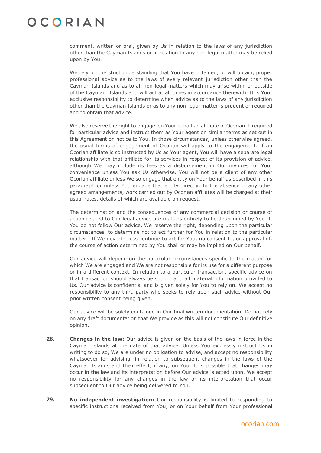comment, written or oral, given by Us in relation to the laws of any jurisdiction other than the Cayman Islands or in relation to any non-legal matter may be relied upon by You.

We rely on the strict understanding that You have obtained, or will obtain, proper professional advice as to the laws of every relevant jurisdiction other than the Cayman Islands and as to all non-legal matters which may arise within or outside of the Cayman Islands and will act at all times in accordance therewith. It is Your exclusive responsibility to determine when advice as to the laws of any jurisdiction other than the Cayman Islands or as to any non-legal matter is prudent or required and to obtain that advice.

We also reserve the right to engage on Your behalf an affiliate of Ocorian if required for particular advice and instruct them as Your agent on similar terms as set out in this Agreement on notice to You. In those circumstances, unless otherwise agreed, the usual terms of engagement of Ocorian will apply to the engagement. If an Ocorian affiliate is so instructed by Us as Your agent, You will have a separate legal relationship with that affiliate for its services in respect of its provision of advice, although We may include its fees as a disbursement in Our invoices for Your convenience unless You ask Us otherwise. You will not be a client of any other Ocorian affiliate unless We so engage that entity on Your behalf as described in this paragraph or unless You engage that entity directly. In the absence of any other agreed arrangements, work carried out by Ocorian affiliates will be charged at their usual rates, details of which are available on request.

The determination and the consequences of any commercial decision or course of action related to Our legal advice are matters entirely to be determined by You. If You do not follow Our advice, We reserve the right, depending upon the particular circumstances, to determine not to act further for You in relation to the particular matter. If We nevertheless continue to act for You, no consent to, or approval of, the course of action determined by You shall or may be implied on Our behalf.

Our advice will depend on the particular circumstances specific to the matter for which We are engaged and We are not responsible for its use for a different purpose or in a different context. In relation to a particular transaction, specific advice on that transaction should always be sought and all material information provided to Us. Our advice is confidential and is given solely for You to rely on. We accept no responsibility to any third party who seeks to rely upon such advice without Our prior written consent being given.

Our advice will be solely contained in Our final written documentation. Do not rely on any draft documentation that We provide as this will not constitute Our definitive opinion.

- **28. Changes in the law:** Our advice is given on the basis of the laws in force in the Cayman Islands at the date of that advice. Unless You expressly instruct Us in writing to do so, We are under no obligation to advise, and accept no responsibility whatsoever for advising, in relation to subsequent changes in the laws of the Cayman Islands and their effect, if any, on You. It is possible that changes may occur in the law and its interpretation before Our advice is acted upon. We accept no responsibility for any changes in the law or its interpretation that occur subsequent to Our advice being delivered to You.
- **29. No independent investigation:** Our responsibility is limited to responding to specific instructions received from You, or on Your behalf from Your professional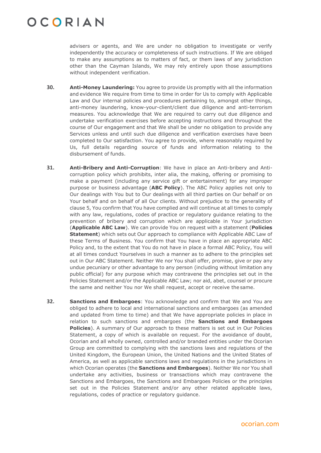advisers or agents, and We are under no obligation to investigate or verify independently the accuracy or completeness of such instructions. If We are obliged to make any assumptions as to matters of fact, or them laws of any jurisdiction other than the Cayman Islands, We may rely entirely upon those assumptions without independent verification.

- <span id="page-7-0"></span>**30. Anti-Money Laundering:** You agree to provide Us promptly with all the information and evidence We require from time to time in order for Us to comply with Applicable Law and Our internal policies and procedures pertaining to, amongst other things, anti-money laundering, know-your-client/client due diligence and anti-terrorism measures. You acknowledge that We are required to carry out due diligence and undertake verification exercises before accepting instructions and throughout the course of Our engagement and that We shall be under no obligation to provide any Services unless and until such due diligence and verification exercises have been completed to Our satisfaction. You agree to provide, where reasonably required by Us, full details regarding source of funds and information relating to the disbursement of funds.
- <span id="page-7-1"></span>**31. Anti-Bribery and Anti-Corruption**: We have in place an Anti-bribery and Anticorruption policy which prohibits, inter alia, the making, offering or promising to make a payment (including any service gift or entertainment) for any improper purpose or business advantage (**ABC Policy**). The ABC Policy applies not only to Our dealings with You but to Our dealings with all third parties on Our behalf or on Your behalf and on behalf of all Our clients. Without prejudice to the generality of clause [5,](#page-1-0) You confirm that You have complied and will continue at all times to comply with any law, regulations, codes of practice or regulatory guidance relating to the prevention of bribery and corruption which are applicable in Your jurisdiction (**Applicable ABC Law**). We can provide You on request with a statement (**Policies Statement**) which sets out Our approach to compliance with Applicable ABC Law of these Terms of Business. You confirm that You have in place an appropriate ABC Policy and, to the extent that You do not have in place a formal ABC Policy, You will at all times conduct Yourselves in such a manner as to adhere to the principles set out in Our ABC Statement. Neither We nor You shall offer, promise, give or pay any undue pecuniary or other advantage to any person (including without limitation any public official) for any purpose which may contravene the principles set out in the Policies Statement and/or the Applicable ABC Law; nor aid, abet, counsel or procure the same and neither You nor We shall request, accept or receive the same.
- **32. Sanctions and Embargoes**: You acknowledge and confirm that We and You are obliged to adhere to local and international sanctions and embargoes (as amended and updated from time to time) and that We have appropriate policies in place in relation to such sanctions and embargoes (the **Sanctions and Embargoes Policies**). A summary of Our approach to these matters is set out in Our Policies Statement, a copy of which is available on request. For the avoidance of doubt, Ocorian and all wholly owned, controlled and/or branded entities under the Ocorian Group are committed to complying with the sanctions laws and regulations of the United Kingdom, the European Union, the United Nations and the United States of America, as well as applicable sanctions laws and regulations in the jurisdictions in which Ocorian operates (the **Sanctions and Embargoes**). Neither We nor You shall undertake any activities, business or transactions which may contravene the Sanctions and Embargoes, the Sanctions and Embargoes Policies or the principles set out in the Policies Statement and/or any other related applicable laws, regulations, codes of practice or regulatory guidance.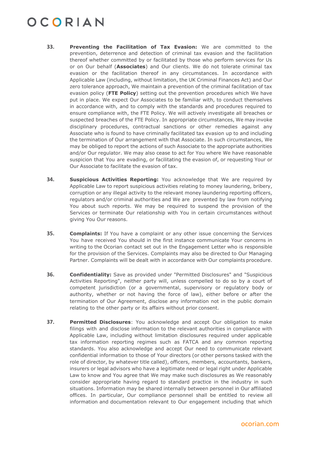- **33. Preventing the Facilitation of Tax Evasion:** We are committed to the prevention, deterrence and detection of criminal tax evasion and the facilitation thereof whether committed by or facilitated by those who perform services for Us or on Our behalf (**Associates**) and Our clients. We do not tolerate criminal tax evasion or the facilitation thereof in any circumstances. In accordance with Applicable Law (including, without limitation, the UK Criminal Finances Act) and Our zero tolerance approach, We maintain a prevention of the criminal facilitation of tax evasion policy (**FTE Policy**) setting out the prevention procedures which We have put in place. We expect Our Associates to be familiar with, to conduct themselves in accordance with, and to comply with the standards and procedures required to ensure compliance with, the FTE Policy. We will actively investigate all breaches or suspected breaches of the FTE Policy. In appropriate circumstances, We may invoke disciplinary procedures, contractual sanctions or other remedies against any Associate who is found to have criminally facilitated tax evasion up to and including the termination of Our arrangement with that Associate. In such circumstances, We may be obliged to report the actions of such Associate to the appropriate authorities and/or Our regulator. We may also cease to act for You where We have reasonable suspicion that You are evading, or facilitating the evasion of, or requesting Your or Our Associate to facilitate the evasion of tax.
- <span id="page-8-0"></span>**34. Suspicious Activities Reporting:** You acknowledge that We are required by Applicable Law to report suspicious activities relating to money laundering, bribery, corruption or any illegal activity to the relevant money laundering reporting officers, regulators and/or criminal authorities and We are prevented by law from notifying You about such reports. We may be required to suspend the provision of the Services or terminate Our relationship with You in certain circumstances without giving You Our reasons.
- <span id="page-8-1"></span>**35. Complaints:** If You have a complaint or any other issue concerning the Services You have received You should in the first instance communicate Your concerns in writing to the Ocorian contact set out in the Engagement Letter who is responsible for the provision of the Services. Complaints may also be directed to Our Managing Partner. Complaints will be dealt with in accordance with Our complaints procedure.
- **36. Confidentiality:** Save as provided under "Permitted Disclosures" and "Suspicious Activities Reporting", neither party will, unless compelled to do so by a court of competent jurisdiction (or a governmental, supervisory or regulatory body or authority, whether or not having the force of law), either before or after the termination of Our Agreement, disclose any information not in the public domain relating to the other party or its affairs without prior consent.
- **37. Permitted Disclosures**: You acknowledge and accept Our obligation to make filings with and disclose information to the relevant authorities in compliance with Applicable Law, including without limitation disclosures required under applicable tax information reporting regimes such as FATCA and any common reporting standards. You also acknowledge and accept Our need to communicate relevant confidential information to those of Your directors (or other persons tasked with the role of director, by whatever title called), officers, members, accountants, bankers, insurers or legal advisors who have a legitimate need or legal right under Applicable Law to know and You agree that We may make such disclosures as We reasonably consider appropriate having regard to standard practice in the industry in such situations. Information may be shared internally between personnel in Our affiliated offices. In particular, Our compliance personnel shall be entitled to review all information and documentation relevant to Our engagement including that which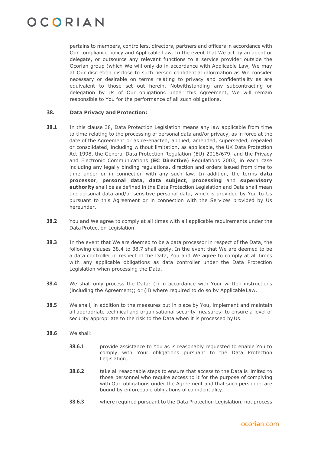pertains to members, controllers, directors, partners and officers in accordance with Our compliance policy and Applicable Law. In the event that We act by an agent or delegate, or outsource any relevant functions to a service provider outside the Ocorian group (which We will only do in accordance with Applicable Law, We may at Our discretion disclose to such person confidential information as We consider necessary or desirable on terms relating to privacy and confidentiality as are equivalent to those set out herein. Notwithstanding any subcontracting or delegation by Us of Our obligations under this Agreement, We will remain responsible to You for the performance of all such obligations.

#### <span id="page-9-0"></span>**38. Data Privacy and Protection:**

- **38.1** In this clause [38,](#page-9-0) Data Protection Legislation means any law applicable from time to time relating to the processing of personal data and/or privacy, as in force at the date of the Agreement or as re-enacted, applied, amended, superseded, repealed or consolidated, including without limitation, as applicable, the UK Data Protection Act 1998, the General Data Protection Regulation (EU) 2016/679, and the Privacy and Electronic Communications (**EC Directive**) Regulations 2003, in each case including any legally binding regulations, direction and orders issued from time to time under or in connection with any such law. In addition, the terms **data processor**, **personal data**, **data subject**, **processing** and **supervisory authority** shall be as defined in the Data Protection Legislation and Data shall mean the personal data and/or sensitive personal data, which is provided by You to Us pursuant to this Agreement or in connection with the Services provided by Us hereunder.
- **38.2** You and We agree to comply at all times with all applicable requirements under the Data Protection Legislation.
- **38.3** In the event that We are deemed to be a data processor in respect of the Data, the following clauses [38.4](#page-9-1) to [38.7](#page-10-0) shall apply. In the event that We are deemed to be a data controller in respect of the Data, You and We agree to comply at all times with any applicable obligations as data controller under the Data Protection Legislation when processing the Data.
- <span id="page-9-1"></span>**38.4** We shall only process the Data: (i) in accordance with Your written instructions (including the Agreement); or (ii) where required to do so by Applicable Law.
- **38.5** We shall, in addition to the measures put in place by You, implement and maintain all appropriate technical and organisational security measures: to ensure a level of security appropriate to the risk to the Data when it is processed by Us.
- **38.6** We shall:
	- **38.6.1** provide assistance to You as is reasonably requested to enable You to comply with Your obligations pursuant to the Data Protection Legislation;
	- **38.6.2** take all reasonable steps to ensure that access to the Data is limited to those personnel who require access to it for the purpose of complying with Our obligations under the Agreement and that such personnel are bound by enforceable obligations of confidentiality;
	- **38.6.3** where required pursuant to the Data Protection Legislation, not process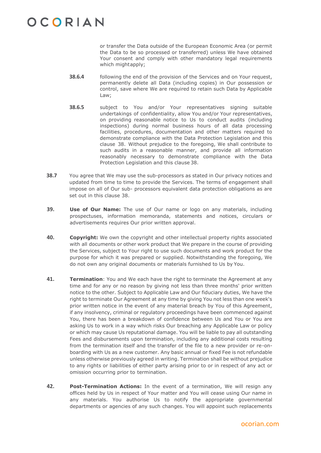or transfer the Data outside of the European Economic Area (or permit the Data to be so processed or transferred) unless We have obtained Your consent and comply with other mandatory legal requirements which mightapply;

- **38.6.4** following the end of the provision of the Services and on Your request, permanently delete all Data (including copies) in Our possession or control, save where We are required to retain such Data by Applicable Law;
- **38.6.5** subject to You and/or Your representatives signing suitable undertakings of confidentiality, allow You and/or Your representatives, on providing reasonable notice to Us to conduct audits (including inspections) during normal business hours of all data processing facilities, procedures, documentation and other matters required to demonstrate compliance with the Data Protection Legislation and this clause [38.](#page-9-0) Without prejudice to the foregoing, We shall contribute to such audits in a reasonable manner, and provide all information reasonably necessary to demonstrate compliance with the Data Protection Legislation and this clause [38.](#page-9-0)
- <span id="page-10-0"></span>**38.7** You agree that We may use the sub-processors as stated in Our privacy notices and updated from time to time to provide the Services. The terms of engagement shall impose on all of Our sub- processors equivalent data protection obligations as are set out in this clause [38.](#page-9-0)
- **39. Use of Our Name:** The use of Our name or logo on any materials, including prospectuses, information memoranda, statements and notices, circulars or advertisements requires Our prior written approval.
- <span id="page-10-1"></span>**40. Copyright:** We own the copyright and other intellectual property rights associated with all documents or other work product that We prepare in the course of providing the Services, subject to Your right to use such documents and work product for the purpose for which it was prepared or supplied. Notwithstanding the foregoing, We do not own any original documents or materials furnished to Us by You.
- **41. Termination**: You and We each have the right to terminate the Agreement at any time and for any or no reason by giving not less than three months' prior written notice to the other. Subject to Applicable Law and Our fiduciary duties, We have the right to terminate Our Agreement at any time by giving You not less than one week's prior written notice in the event of any material breach by You of this Agreement, if any insolvency, criminal or regulatory proceedings have been commenced against You, there has been a breakdown of confidence between Us and You or You are asking Us to work in a way which risks Our breaching any Applicable Law or policy or which may cause Us reputational damage. You will be liable to pay all outstanding Fees and disbursements upon termination, including any additional costs resulting from the termination itself and the transfer of the file to a new provider or re-onboarding with Us as a new customer. Any basic annual or fixed Fee is not refundable unless otherwise previously agreed in writing. Termination shall be without prejudice to any rights or liabilities of either party arising prior to or in respect of any act or omission occurring prior to termination.
- **42. Post-Termination Actions:** In the event of a termination, We will resign any offices held by Us in respect of Your matter and You will cease using Our name in any materials. You authorise Us to notify the appropriate governmental departments or agencies of any such changes. You will appoint such replacements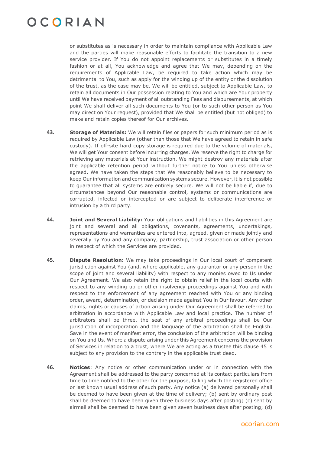or substitutes as is necessary in order to maintain compliance with Applicable Law and the parties will make reasonable efforts to facilitate the transition to a new service provider. If You do not appoint replacements or substitutes in a timely fashion or at all, You acknowledge and agree that We may, depending on the requirements of Applicable Law, be required to take action which may be detrimental to You, such as apply for the winding up of the entity or the dissolution of the trust, as the case may be. We will be entitled, subject to Applicable Law, to retain all documents in Our possession relating to You and which are Your property until We have received payment of all outstanding Fees and disbursements, at which point We shall deliver all such documents to You (or to such other person as You may direct on Your request), provided that We shall be entitled (but not obliged) to make and retain copies thereof for Our archives.

- <span id="page-11-1"></span>**43. Storage of Materials:** We will retain files or papers for such minimum period as is required by Applicable Law (other than those that We have agreed to retain in safe custody). If off-site hard copy storage is required due to the volume of materials, We will get Your consent before incurring charges. We reserve the right to charge for retrieving any materials at Your instruction. We might destroy any materials after the applicable retention period without further notice to You unless otherwise agreed. We have taken the steps that We reasonably believe to be necessary to keep Our information and communication systems secure. However, it is not possible to guarantee that all systems are entirely secure. We will not be liable if, due to circumstances beyond Our reasonable control, systems or communications are corrupted, infected or intercepted or are subject to deliberate interference or intrusion by a third party.
- **44. Joint and Several Liability:** Your obligations and liabilities in this Agreement are joint and several and all obligations, covenants, agreements, undertakings, representations and warranties are entered into, agreed, given or made jointly and severally by You and any company, partnership, trust association or other person in respect of which the Services are provided.
- <span id="page-11-0"></span>**45. Dispute Resolution:** We may take proceedings in Our local court of competent jurisdiction against You (and, where applicable, any guarantor or any person in the scope of joint and several liability) with respect to any monies owed to Us under Our Agreement. We also retain the right to obtain relief in the local courts with respect to any winding up or other insolvency proceedings against You and with respect to the enforcement of any agreement reached with You or any binding order, award, determination, or decision made against You in Our favour. Any other claims, rights or causes of action arising under Our Agreement shall be referred to arbitration in accordance with Applicable Law and local practice. The number of arbitrators shall be three, the seat of any arbitral proceedings shall be Our jurisdiction of incorporation and the language of the arbitration shall be English. Save in the event of manifest error, the conclusion of the arbitration will be binding on You and Us. Where a dispute arising under this Agreement concerns the provision of Services in relation to a trust, where We are acting as a trustee this clause [45](#page-11-0) is subject to any provision to the contrary in the applicable trust deed.
- **46. Notices**: Any notice or other communication under or in connection with the Agreement shall be addressed to the party concerned at its contact particulars from time to time notified to the other for the purpose, failing which the registered office or last known usual address of such party. Any notice (a) delivered personally shall be deemed to have been given at the time of delivery; (b) sent by ordinary post shall be deemed to have been given three business days after posting; (c) sent by airmail shall be deemed to have been given seven business days after posting; (d)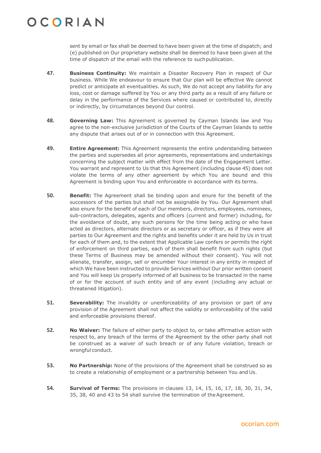sent by email or fax shall be deemed to have been given at the time of dispatch; and (e) published on Our proprietary website shall be deemed to have been given at the time of dispatch of the email with the reference to suchpublication.

- **47. Business Continuity:** We maintain a Disaster Recovery Plan in respect of Our business. While We endeavour to ensure that Our plan will be effective We cannot predict or anticipate all eventualities. As such, We do not accept any liability for any loss, cost or damage suffered by You or any third party as a result of any failure or delay in the performance of the Services where caused or contributed to, directly or indirectly, by circumstances beyond Our control.
- **48. Governing Law:** This Agreement is governed by Cayman Islands law and You agree to the non-exclusive jurisdiction of the Courts of the Cayman Islands to settle any dispute that arises out of or in connection with this Agreement.
- **49. Entire Agreement:** This Agreement represents the entire understanding between the parties and supersedes all prior agreements, representations and undertakings concerning the subject matter with effect from the date of the Engagement Letter. You warrant and represent to Us that this Agreement (including clause [45\)](#page-11-0) does not violate the terms of any other agreement by which You are bound and this Agreement is binding upon You and enforceable in accordance with its terms.
- **50. Benefit:** The Agreement shall be binding upon and enure for the benefit of the successors of the parties but shall not be assignable by You. Our Agreement shall also enure for the benefit of each of Our members, directors, employees, nominees, sub-contractors, delegates, agents and officers (current and former) including, for the avoidance of doubt, any such persons for the time being acting or who have acted as directors, alternate directors or as secretary or officer, as if they were all parties to Our Agreement and the rights and benefits under it are held by Us in trust for each of them and, to the extent that Applicable Law confers or permits the right of enforcement on third parties, each of them shall benefit from such rights (but these Terms of Business may be amended without their consent). You will not alienate, transfer, assign, sell or encumber Your interest in any entity in respect of which We have been instructed to provide Services without Our prior written consent and You will keep Us properly informed of all business to be transacted in the name of or for the account of such entity and of any event (including any actual or threatened litigation).
- **51. Severability:** The invalidity or unenforceability of any provision or part of any provision of the Agreement shall not affect the validity or enforceability of the valid and enforceable provisions thereof.
- **52. No Waiver:** The failure of either party to object to, or take affirmative action with respect to, any breach of the terms of the Agreement by the other party shall not be construed as a waiver of such breach or of any future violation, breach or wrongful conduct.
- **53. No Partnership:** None of the provisions of the Agreement shall be construed so as to create a relationship of employment or a partnership between You and Us.
- <span id="page-12-0"></span>**54. Survival of Terms:** The provisions in clauses [13,](#page-3-0) [14,](#page-3-1) [15,](#page-3-2) [16,](#page-4-0) [17,](#page-4-1) [18,](#page-4-2) [30,](#page-7-0) [31,](#page-7-1) [34,](#page-8-0) [35,](#page-8-1) [38,](#page-9-0) [40](#page-10-1) and [43](#page-11-1) to [54](#page-12-0) shall survive the termination of theAgreement.